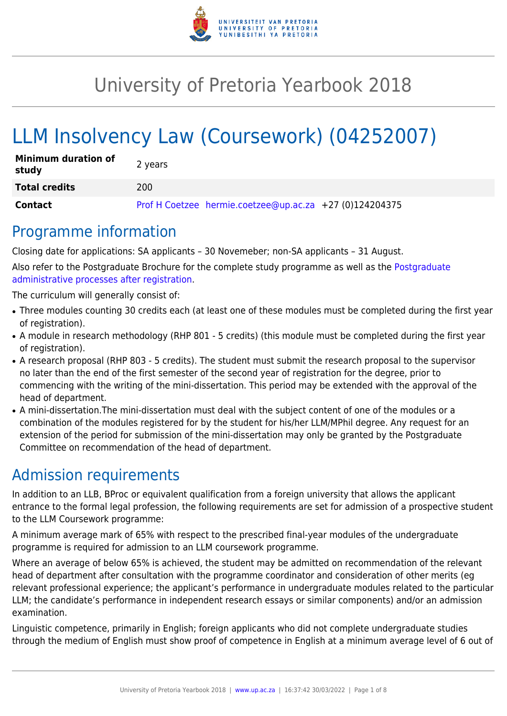

# University of Pretoria Yearbook 2018

# LLM Insolvency Law (Coursework) (04252007)

| <b>Minimum duration of</b><br>study | 2 years                                                 |
|-------------------------------------|---------------------------------------------------------|
| <b>Total credits</b>                | 200                                                     |
| Contact                             | Prof H Coetzee hermie.coetzee@up.ac.za +27 (0)124204375 |

### Programme information

Closing date for applications: SA applicants – 30 Novemeber; non-SA applicants – 31 August.

Also refer to the Postgraduate Brochure for the complete study programme as well as the [Postgraduate](http://www.up.ac.za/media/shared/10/ZP_Files/post-graduate-administrative-processes-brochures-for-the-faculty-web.zp124870.pdf) [administrative processes after registration.](http://www.up.ac.za/media/shared/10/ZP_Files/post-graduate-administrative-processes-brochures-for-the-faculty-web.zp124870.pdf)

The curriculum will generally consist of:

- Three modules counting 30 credits each (at least one of these modules must be completed during the first year of registration).
- A module in research methodology (RHP 801 5 credits) (this module must be completed during the first year of registration).
- A research proposal (RHP 803 5 credits). The student must submit the research proposal to the supervisor no later than the end of the first semester of the second year of registration for the degree, prior to commencing with the writing of the mini-dissertation. This period may be extended with the approval of the head of department.
- A mini-dissertation. The mini-dissertation must deal with the subject content of one of the modules or a combination of the modules registered for by the student for his/her LLM/MPhil degree. Any request for an extension of the period for submission of the mini-dissertation may only be granted by the Postgraduate Committee on recommendation of the head of department.

## Admission requirements

In addition to an LLB, BProc or equivalent qualification from a foreign university that allows the applicant entrance to the formal legal profession, the following requirements are set for admission of a prospective student to the LLM Coursework programme:

A minimum average mark of 65% with respect to the prescribed final-year modules of the undergraduate programme is required for admission to an LLM coursework programme.

Where an average of below 65% is achieved, the student may be admitted on recommendation of the relevant head of department after consultation with the programme coordinator and consideration of other merits (eg relevant professional experience; the applicant's performance in undergraduate modules related to the particular LLM; the candidate's performance in independent research essays or similar components) and/or an admission examination.

Linguistic competence, primarily in English; foreign applicants who did not complete undergraduate studies through the medium of English must show proof of competence in English at a minimum average level of 6 out of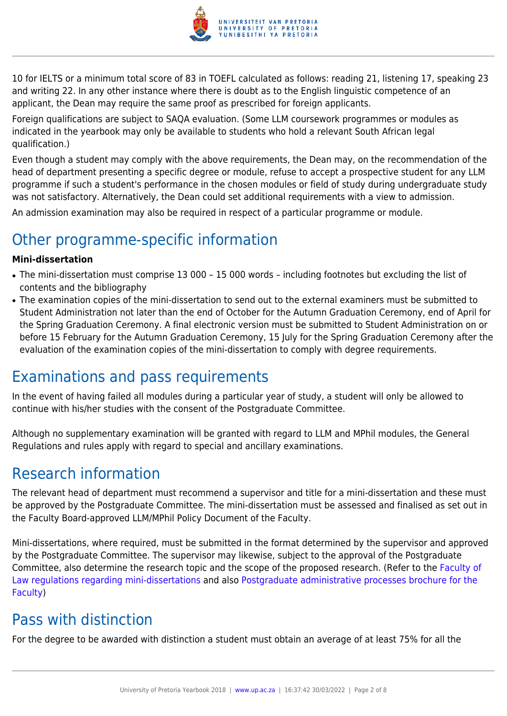

10 for IELTS or a minimum total score of 83 in TOEFL calculated as follows: reading 21, listening 17, speaking 23 and writing 22. In any other instance where there is doubt as to the English linguistic competence of an applicant, the Dean may require the same proof as prescribed for foreign applicants.

Foreign qualifications are subject to SAQA evaluation. (Some LLM coursework programmes or modules as indicated in the yearbook may only be available to students who hold a relevant South African legal qualification.)

Even though a student may comply with the above requirements, the Dean may, on the recommendation of the head of department presenting a specific degree or module, refuse to accept a prospective student for any LLM programme if such a student's performance in the chosen modules or field of study during undergraduate study was not satisfactory. Alternatively, the Dean could set additional requirements with a view to admission.

An admission examination may also be required in respect of a particular programme or module.

## Other programme-specific information

#### **Mini-dissertation**

- The mini-dissertation must comprise 13 000 15 000 words including footnotes but excluding the list of contents and the bibliography
- The examination copies of the mini-dissertation to send out to the external examiners must be submitted to Student Administration not later than the end of October for the Autumn Graduation Ceremony, end of April for the Spring Graduation Ceremony. A final electronic version must be submitted to Student Administration on or before 15 February for the Autumn Graduation Ceremony, 15 July for the Spring Graduation Ceremony after the evaluation of the examination copies of the mini-dissertation to comply with degree requirements.

### Examinations and pass requirements

In the event of having failed all modules during a particular year of study, a student will only be allowed to continue with his/her studies with the consent of the Postgraduate Committee.

Although no supplementary examination will be granted with regard to LLM and MPhil modules, the General Regulations and rules apply with regard to special and ancillary examinations.

### Research information

The relevant head of department must recommend a supervisor and title for a mini-dissertation and these must be approved by the Postgraduate Committee. The mini-dissertation must be assessed and finalised as set out in the Faculty Board-approved LLM/MPhil Policy Document of the Faculty.

Mini-dissertations, where required, must be submitted in the format determined by the supervisor and approved by the Postgraduate Committee. The supervisor may likewise, subject to the approval of the Postgraduate Committee, also determine the research topic and the scope of the proposed research. (Refer to the [Faculty of](http://www.up.ac.za/media/shared/10/ZP_Files/faculty-regulations-for-the-mini-dissertation.zp124872.pdf) [Law regulations regarding mini-dissertations](http://www.up.ac.za/media/shared/10/ZP_Files/faculty-regulations-for-the-mini-dissertation.zp124872.pdf) and also [Postgraduate administrative processes brochure for the](http://www.up.ac.za/media/shared/10/ZP_Files/post-graduate-administrative-processes-brochures-for-the-faculty-web.zp124870.pdf) [Faculty](http://www.up.ac.za/media/shared/10/ZP_Files/post-graduate-administrative-processes-brochures-for-the-faculty-web.zp124870.pdf))

### Pass with distinction

For the degree to be awarded with distinction a student must obtain an average of at least 75% for all the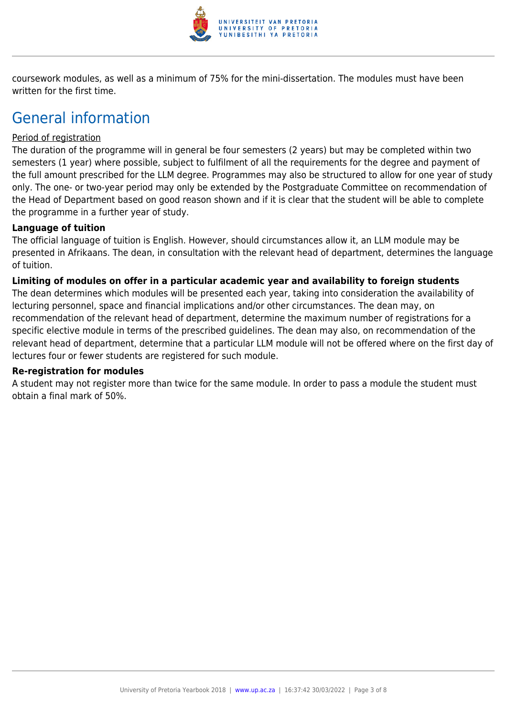

coursework modules, as well as a minimum of 75% for the mini-dissertation. The modules must have been written for the first time.

### General information

#### Period of registration

The duration of the programme will in general be four semesters (2 years) but may be completed within two semesters (1 year) where possible, subject to fulfilment of all the requirements for the degree and payment of the full amount prescribed for the LLM degree. Programmes may also be structured to allow for one year of study only. The one- or two-year period may only be extended by the Postgraduate Committee on recommendation of the Head of Department based on good reason shown and if it is clear that the student will be able to complete the programme in a further year of study.

#### **Language of tuition**

The official language of tuition is English. However, should circumstances allow it, an LLM module may be presented in Afrikaans. The dean, in consultation with the relevant head of department, determines the language of tuition.

#### **Limiting of modules on offer in a particular academic year and availability to foreign students**

The dean determines which modules will be presented each year, taking into consideration the availability of lecturing personnel, space and financial implications and/or other circumstances. The dean may, on recommendation of the relevant head of department, determine the maximum number of registrations for a specific elective module in terms of the prescribed guidelines. The dean may also, on recommendation of the relevant head of department, determine that a particular LLM module will not be offered where on the first day of lectures four or fewer students are registered for such module.

#### **Re-registration for modules**

A student may not register more than twice for the same module. In order to pass a module the student must obtain a final mark of 50%.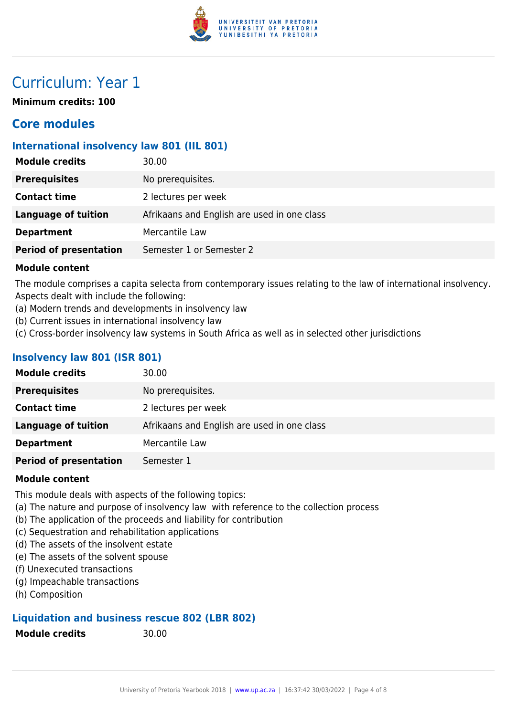

### Curriculum: Year 1

**Minimum credits: 100**

### **Core modules**

#### **International insolvency law 801 (IIL 801)**

| <b>Module credits</b>         | 30.00                                       |
|-------------------------------|---------------------------------------------|
| <b>Prerequisites</b>          | No prerequisites.                           |
| <b>Contact time</b>           | 2 lectures per week                         |
| <b>Language of tuition</b>    | Afrikaans and English are used in one class |
| <b>Department</b>             | Mercantile Law                              |
| <b>Period of presentation</b> | Semester 1 or Semester 2                    |
|                               |                                             |

#### **Module content**

The module comprises a capita selecta from contemporary issues relating to the law of international insolvency. Aspects dealt with include the following:

- (a) Modern trends and developments in insolvency law
- (b) Current issues in international insolvency law
- (c) Cross-border insolvency law systems in South Africa as well as in selected other jurisdictions

#### **Insolvency law 801 (ISR 801)**

| <b>Module credits</b>         | 30.00                                       |
|-------------------------------|---------------------------------------------|
| <b>Prerequisites</b>          | No prerequisites.                           |
| <b>Contact time</b>           | 2 lectures per week                         |
| <b>Language of tuition</b>    | Afrikaans and English are used in one class |
| <b>Department</b>             | Mercantile Law                              |
| <b>Period of presentation</b> | Semester 1                                  |
|                               |                                             |

#### **Module content**

This module deals with aspects of the following topics:

- (a) The nature and purpose of insolvency law with reference to the collection process
- (b) The application of the proceeds and liability for contribution
- (c) Sequestration and rehabilitation applications
- (d) The assets of the insolvent estate
- (e) The assets of the solvent spouse
- (f) Unexecuted transactions
- (g) Impeachable transactions
- (h) Composition

#### **Liquidation and business rescue 802 (LBR 802)**

**Module credits** 30.00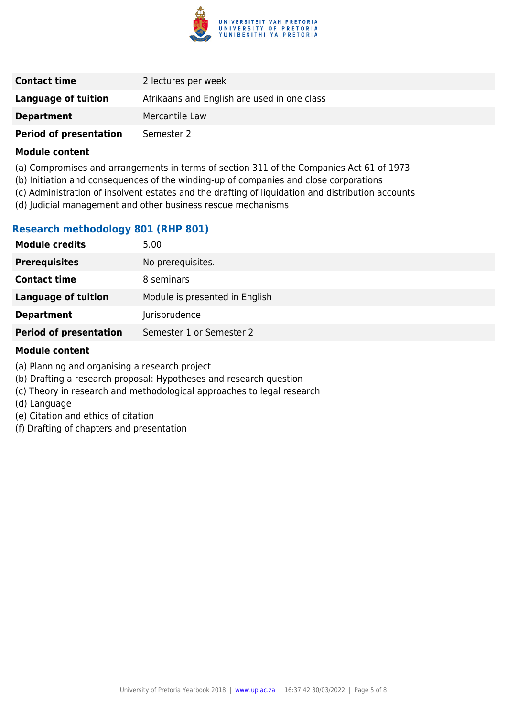

| <b>Contact time</b>           | 2 lectures per week                         |
|-------------------------------|---------------------------------------------|
| Language of tuition           | Afrikaans and English are used in one class |
| <b>Department</b>             | Mercantile Law                              |
| <b>Period of presentation</b> | Semester 2                                  |

#### **Module content**

- (a) Compromises and arrangements in terms of section 311 of the Companies Act 61 of 1973
- (b) Initiation and consequences of the winding-up of companies and close corporations
- (c) Administration of insolvent estates and the drafting of liquidation and distribution accounts
- (d) Judicial management and other business rescue mechanisms

#### **Research methodology 801 (RHP 801)**

| <b>Module credits</b>         | 5.00                           |
|-------------------------------|--------------------------------|
| <b>Prerequisites</b>          | No prerequisites.              |
| <b>Contact time</b>           | 8 seminars                     |
| <b>Language of tuition</b>    | Module is presented in English |
| <b>Department</b>             | Jurisprudence                  |
| <b>Period of presentation</b> | Semester 1 or Semester 2       |
|                               |                                |

#### **Module content**

- (a) Planning and organising a research project
- (b) Drafting a research proposal: Hypotheses and research question
- (c) Theory in research and methodological approaches to legal research
- (d) Language
- (e) Citation and ethics of citation
- (f) Drafting of chapters and presentation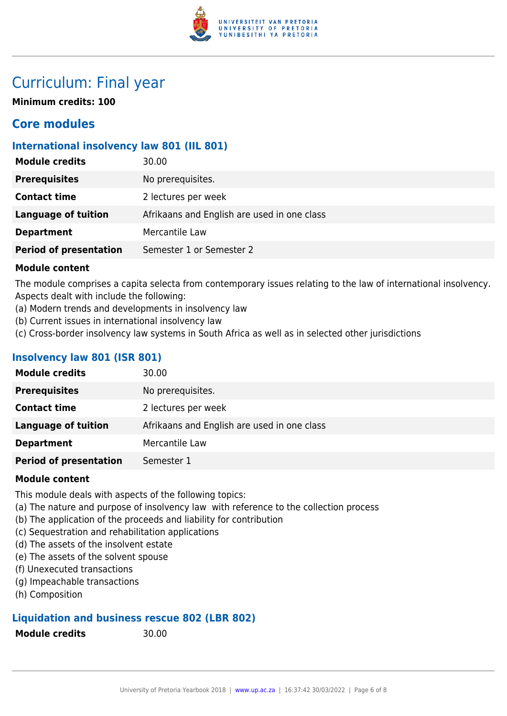

### Curriculum: Final year

**Minimum credits: 100**

### **Core modules**

#### **International insolvency law 801 (IIL 801)**

| <b>Module credits</b>         | 30.00                                       |
|-------------------------------|---------------------------------------------|
| <b>Prerequisites</b>          | No prerequisites.                           |
| <b>Contact time</b>           | 2 lectures per week                         |
| <b>Language of tuition</b>    | Afrikaans and English are used in one class |
| <b>Department</b>             | Mercantile Law                              |
| <b>Period of presentation</b> | Semester 1 or Semester 2                    |
|                               |                                             |

#### **Module content**

The module comprises a capita selecta from contemporary issues relating to the law of international insolvency. Aspects dealt with include the following:

- (a) Modern trends and developments in insolvency law
- (b) Current issues in international insolvency law
- (c) Cross-border insolvency law systems in South Africa as well as in selected other jurisdictions

#### **Insolvency law 801 (ISR 801)**

| No prerequisites.<br><b>Prerequisites</b>                          |  |
|--------------------------------------------------------------------|--|
| <b>Contact time</b><br>2 lectures per week                         |  |
| Language of tuition<br>Afrikaans and English are used in one class |  |
| Mercantile Law<br><b>Department</b>                                |  |
| <b>Period of presentation</b><br>Semester 1                        |  |

#### **Module content**

This module deals with aspects of the following topics:

- (a) The nature and purpose of insolvency law with reference to the collection process
- (b) The application of the proceeds and liability for contribution
- (c) Sequestration and rehabilitation applications
- (d) The assets of the insolvent estate
- (e) The assets of the solvent spouse
- (f) Unexecuted transactions
- (g) Impeachable transactions
- (h) Composition

#### **Liquidation and business rescue 802 (LBR 802)**

**Module credits** 30.00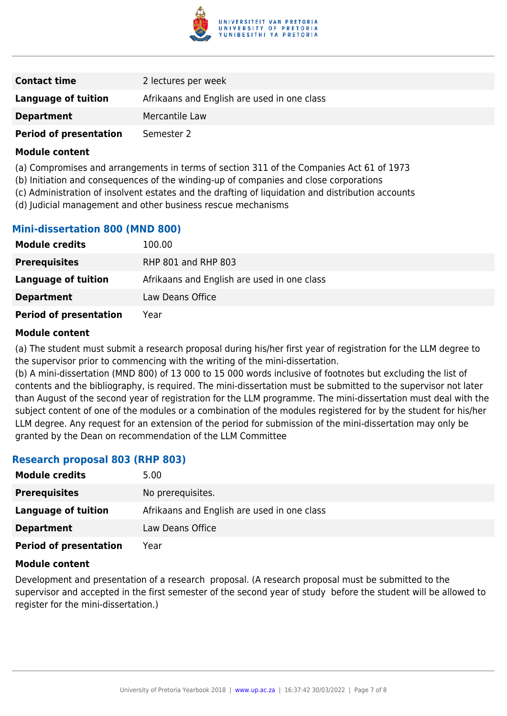

| <b>Contact time</b>           | 2 lectures per week                         |
|-------------------------------|---------------------------------------------|
| Language of tuition           | Afrikaans and English are used in one class |
| <b>Department</b>             | Mercantile Law                              |
| <b>Period of presentation</b> | Semester 2                                  |

#### **Module content**

- (a) Compromises and arrangements in terms of section 311 of the Companies Act 61 of 1973
- (b) Initiation and consequences of the winding-up of companies and close corporations
- (c) Administration of insolvent estates and the drafting of liquidation and distribution accounts
- (d) Judicial management and other business rescue mechanisms

#### **Mini-dissertation 800 (MND 800)**

| <b>Module credits</b>         | 100.00                                      |
|-------------------------------|---------------------------------------------|
| <b>Prerequisites</b>          | RHP 801 and RHP 803                         |
| Language of tuition           | Afrikaans and English are used in one class |
| <b>Department</b>             | Law Deans Office                            |
| <b>Period of presentation</b> | Year                                        |

#### **Module content**

(a) The student must submit a research proposal during his/her first year of registration for the LLM degree to the supervisor prior to commencing with the writing of the mini-dissertation.

(b) A mini-dissertation (MND 800) of 13 000 to 15 000 words inclusive of footnotes but excluding the list of contents and the bibliography, is required. The mini-dissertation must be submitted to the supervisor not later than August of the second year of registration for the LLM programme. The mini-dissertation must deal with the subject content of one of the modules or a combination of the modules registered for by the student for his/her LLM degree. Any request for an extension of the period for submission of the mini-dissertation may only be granted by the Dean on recommendation of the LLM Committee

#### **Research proposal 803 (RHP 803)**

| <b>Module credits</b>         | 5.00                                        |
|-------------------------------|---------------------------------------------|
| <b>Prerequisites</b>          | No prerequisites.                           |
| Language of tuition           | Afrikaans and English are used in one class |
| <b>Department</b>             | Law Deans Office                            |
| <b>Period of presentation</b> | Year                                        |

#### **Module content**

Development and presentation of a research proposal. (A research proposal must be submitted to the supervisor and accepted in the first semester of the second year of study before the student will be allowed to register for the mini-dissertation.)